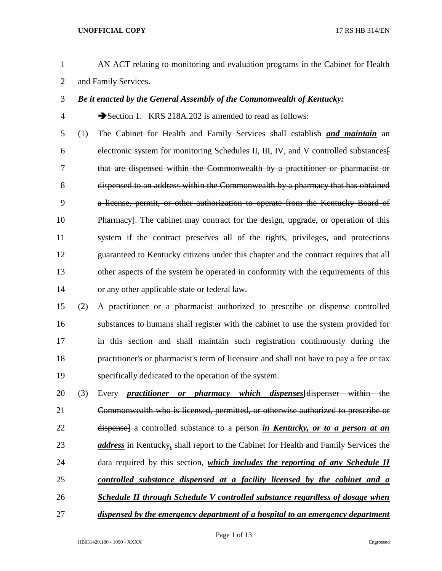- AN ACT relating to monitoring and evaluation programs in the Cabinet for Health and Family Services.
- *Be it enacted by the General Assembly of the Commonwealth of Kentucky:*
- 

4 Section 1. KRS 218A.202 is amended to read as follows:

- (1) The Cabinet for Health and Family Services shall establish *and maintain* an electronic system for monitoring Schedules II, III, IV, and V controlled substances[ that are dispensed within the Commonwealth by a practitioner or pharmacist or dispensed to an address within the Commonwealth by a pharmacy that has obtained a license, permit, or other authorization to operate from the Kentucky Board of Pharmacy]. The cabinet may contract for the design, upgrade, or operation of this system if the contract preserves all of the rights, privileges, and protections guaranteed to Kentucky citizens under this chapter and the contract requires that all other aspects of the system be operated in conformity with the requirements of this or any other applicable state or federal law.
- (2) A practitioner or a pharmacist authorized to prescribe or dispense controlled substances to humans shall register with the cabinet to use the system provided for in this section and shall maintain such registration continuously during the practitioner's or pharmacist's term of licensure and shall not have to pay a fee or tax specifically dedicated to the operation of the system.
- (3) Every *practitioner or pharmacy which dispenses*[dispenser within the Commonwealth who is licensed, permitted, or otherwise authorized to prescribe or dispense] a controlled substance to a person *in Kentucky, or to a person at an address* in Kentucky*,* shall report to the Cabinet for Health and Family Services the data required by this section, *which includes the reporting of any Schedule II controlled substance dispensed at a facility licensed by the cabinet and a Schedule II through Schedule V controlled substance regardless of dosage when*
- *dispensed by the emergency department of a hospital to an emergency department*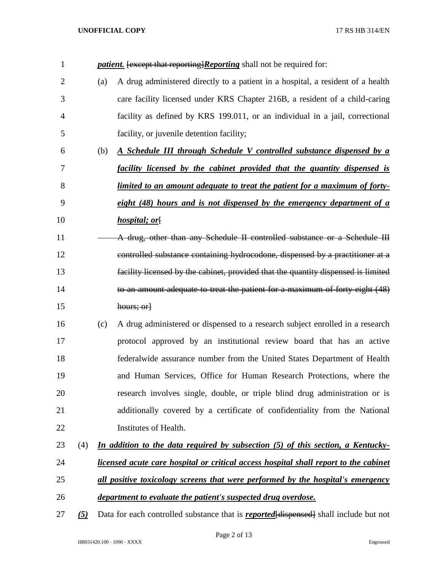| $\mathbf{1}$   |                 |     | <i>patient.</i> [except that reporting]Reporting shall not be required for:                  |
|----------------|-----------------|-----|----------------------------------------------------------------------------------------------|
| $\overline{2}$ |                 | (a) | A drug administered directly to a patient in a hospital, a resident of a health              |
| 3              |                 |     | care facility licensed under KRS Chapter 216B, a resident of a child-caring                  |
| 4              |                 |     | facility as defined by KRS 199.011, or an individual in a jail, correctional                 |
| 5              |                 |     | facility, or juvenile detention facility;                                                    |
| 6              |                 | (b) | A Schedule III through Schedule V controlled substance dispensed by a                        |
| 7              |                 |     | facility licensed by the cabinet provided that the quantity dispensed is                     |
| 8              |                 |     | <u>limited to an amount adequate to treat the patient for a maximum of forty-</u>            |
| 9              |                 |     | eight $(48)$ hours and is not dispensed by the emergency department of $\alpha$              |
| 10             |                 |     | <i>hospital; or[</i>                                                                         |
| 11             |                 |     | A drug, other than any Schedule II controlled substance or a Schedule III                    |
| 12             |                 |     | controlled substance containing hydrocodone, dispensed by a practitioner at a                |
| 13             |                 |     | facility licensed by the cabinet, provided that the quantity dispensed is limited            |
| 14             |                 |     | to an amount adequate to treat the patient for a maximum of forty eight (48)                 |
| 15             |                 |     | hours; or                                                                                    |
| 16             |                 | (c) | A drug administered or dispensed to a research subject enrolled in a research                |
| 17             |                 |     | protocol approved by an institutional review board that has an active                        |
| 18             |                 |     | federalwide assurance number from the United States Department of Health                     |
| 19             |                 |     | and Human Services, Office for Human Research Protections, where the                         |
| 20             |                 |     | research involves single, double, or triple blind drug administration or is                  |
| 21             |                 |     | additionally covered by a certificate of confidentiality from the National                   |
| 22             |                 |     | Institutes of Health.                                                                        |
| 23             | (4)             |     | In addition to the data required by subsection (5) of this section, a Kentucky-              |
| 24             |                 |     | licensed acute care hospital or critical access hospital shall report to the cabinet         |
| 25             |                 |     | all positive toxicology screens that were performed by the hospital's emergency              |
| 26             |                 |     | department to evaluate the patient's suspected drug overdose.                                |
| 27             | $\frac{(5)}{2}$ |     | Data for each controlled substance that is <b>reported</b> [dispensed] shall include but not |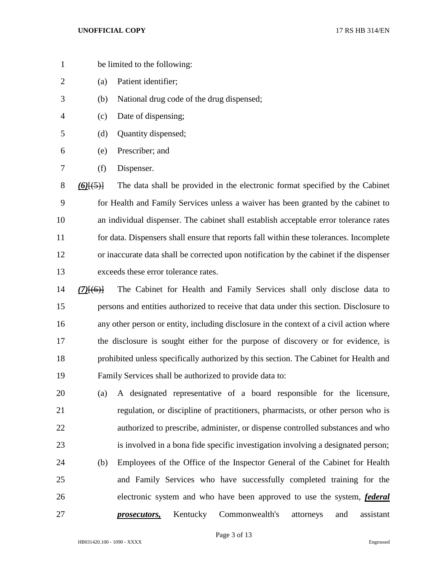- be limited to the following:
- (a) Patient identifier;
- (b) National drug code of the drug dispensed;
- (c) Date of dispensing;
- (d) Quantity dispensed;
- (e) Prescriber; and
- (f) Dispenser.

 *(6)*[(5)] The data shall be provided in the electronic format specified by the Cabinet for Health and Family Services unless a waiver has been granted by the cabinet to an individual dispenser. The cabinet shall establish acceptable error tolerance rates for data. Dispensers shall ensure that reports fall within these tolerances. Incomplete or inaccurate data shall be corrected upon notification by the cabinet if the dispenser exceeds these error tolerance rates.

- *(7)*[(6)] The Cabinet for Health and Family Services shall only disclose data to persons and entities authorized to receive that data under this section. Disclosure to any other person or entity, including disclosure in the context of a civil action where the disclosure is sought either for the purpose of discovery or for evidence, is prohibited unless specifically authorized by this section. The Cabinet for Health and Family Services shall be authorized to provide data to:
- (a) A designated representative of a board responsible for the licensure, regulation, or discipline of practitioners, pharmacists, or other person who is authorized to prescribe, administer, or dispense controlled substances and who is involved in a bona fide specific investigation involving a designated person; (b) Employees of the Office of the Inspector General of the Cabinet for Health and Family Services who have successfully completed training for the electronic system and who have been approved to use the system, *federal prosecutors,* Kentucky Commonwealth's attorneys and assistant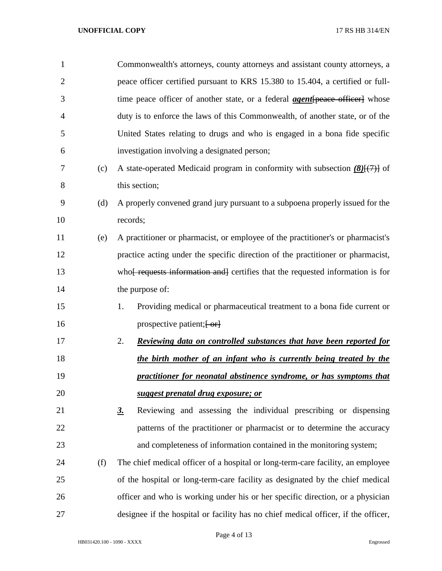| $\mathbf{1}$   |     | Commonwealth's attorneys, county attorneys and assistant county attorneys, a             |
|----------------|-----|------------------------------------------------------------------------------------------|
| $\overline{2}$ |     | peace officer certified pursuant to KRS 15.380 to 15.404, a certified or full-           |
| 3              |     | time peace officer of another state, or a federal <b>agent</b> [peace officer] whose     |
| 4              |     | duty is to enforce the laws of this Commonwealth, of another state, or of the            |
| 5              |     | United States relating to drugs and who is engaged in a bona fide specific               |
| 6              |     | investigation involving a designated person;                                             |
| 7              | (c) | A state-operated Medicaid program in conformity with subsection $(8)$ $(7)$ of           |
| 8              |     | this section;                                                                            |
| 9              | (d) | A properly convened grand jury pursuant to a subpoena properly issued for the            |
| 10             |     | records;                                                                                 |
| 11             | (e) | A practitioner or pharmacist, or employee of the practitioner's or pharmacist's          |
| 12             |     | practice acting under the specific direction of the practitioner or pharmacist,          |
| 13             |     | who <del> requests information and certifies</del> that the requested information is for |
| 14             |     | the purpose of:                                                                          |
| 15             |     | Providing medical or pharmaceutical treatment to a bona fide current or<br>1.            |
| 16             |     | prospective patient; [-or]                                                               |
| 17             |     | 2.<br><u>Reviewing data on controlled substances that have been reported for</u>         |
| 18             |     | the birth mother of an infant who is currently being treated by the                      |
| 19             |     | practitioner for neonatal abstinence syndrome, or has symptoms that                      |
| 20             |     | suggest prenatal drug exposure; or                                                       |
| 21             |     | Reviewing and assessing the individual prescribing or dispensing<br>$\underline{3}$ .    |
| 22             |     | patterns of the practitioner or pharmacist or to determine the accuracy                  |
| 23             |     | and completeness of information contained in the monitoring system;                      |
| 24             | (f) | The chief medical officer of a hospital or long-term-care facility, an employee          |
| 25             |     | of the hospital or long-term-care facility as designated by the chief medical            |
| 26             |     | officer and who is working under his or her specific direction, or a physician           |
| 27             |     | designee if the hospital or facility has no chief medical officer, if the officer,       |

Page 4 of 13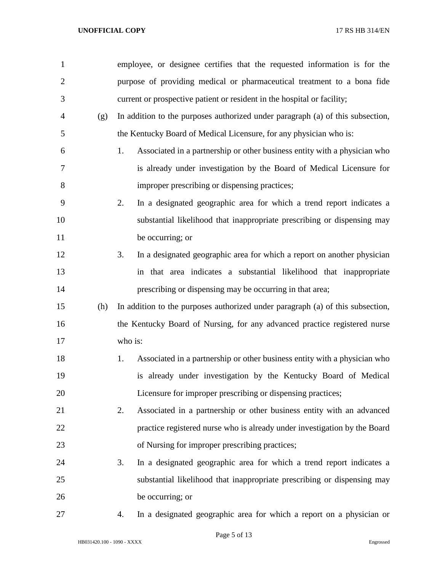| $\mathbf{1}$   |     | employee, or designee certifies that the requested information is for the       |
|----------------|-----|---------------------------------------------------------------------------------|
| $\overline{2}$ |     | purpose of providing medical or pharmaceutical treatment to a bona fide         |
| 3              |     | current or prospective patient or resident in the hospital or facility;         |
| $\overline{4}$ | (g) | In addition to the purposes authorized under paragraph (a) of this subsection,  |
| 5              |     | the Kentucky Board of Medical Licensure, for any physician who is:              |
| 6              |     | Associated in a partnership or other business entity with a physician who<br>1. |
| 7              |     | is already under investigation by the Board of Medical Licensure for            |
| 8              |     | improper prescribing or dispensing practices;                                   |
| 9              |     | In a designated geographic area for which a trend report indicates a<br>2.      |
| 10             |     | substantial likelihood that inappropriate prescribing or dispensing may         |
| 11             |     | be occurring; or                                                                |
| 12             |     | In a designated geographic area for which a report on another physician<br>3.   |
| 13             |     | in that area indicates a substantial likelihood that inappropriate              |
| 14             |     | prescribing or dispensing may be occurring in that area;                        |
| 15             | (h) | In addition to the purposes authorized under paragraph (a) of this subsection,  |
| 16             |     | the Kentucky Board of Nursing, for any advanced practice registered nurse       |
| 17             |     | who is:                                                                         |
| 18             |     | Associated in a partnership or other business entity with a physician who<br>1. |
| 19             |     | is already under investigation by the Kentucky Board of Medical                 |
| 20             |     | Licensure for improper prescribing or dispensing practices;                     |
| 21             |     | Associated in a partnership or other business entity with an advanced<br>2.     |
| 22             |     | practice registered nurse who is already under investigation by the Board       |
| 23             |     | of Nursing for improper prescribing practices;                                  |
| 24             |     | In a designated geographic area for which a trend report indicates a<br>3.      |
| 25             |     | substantial likelihood that inappropriate prescribing or dispensing may         |
| 26             |     | be occurring; or                                                                |
| 27             |     | In a designated geographic area for which a report on a physician or<br>4.      |

Page 5 of 13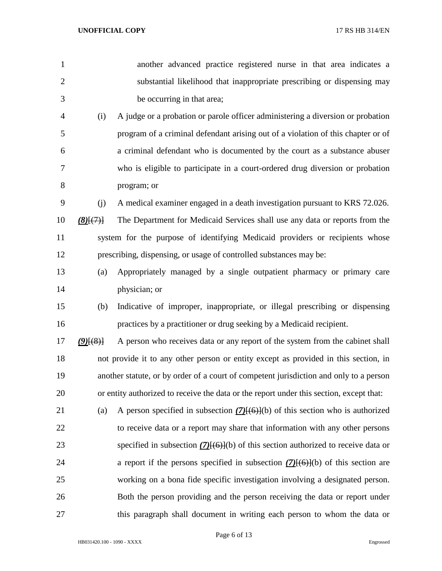| 1              |             | another advanced practice registered nurse in that area indicates a                            |
|----------------|-------------|------------------------------------------------------------------------------------------------|
| $\overline{2}$ |             | substantial likelihood that inappropriate prescribing or dispensing may                        |
| 3              |             | be occurring in that area;                                                                     |
| $\overline{4}$ | (i)         | A judge or a probation or parole officer administering a diversion or probation                |
| 5              |             | program of a criminal defendant arising out of a violation of this chapter or of               |
| 6              |             | a criminal defendant who is documented by the court as a substance abuser                      |
| 7              |             | who is eligible to participate in a court-ordered drug diversion or probation                  |
| 8              |             | program; or                                                                                    |
| 9              | (i)         | A medical examiner engaged in a death investigation pursuant to KRS 72.026.                    |
| 10             | $(8)$ $(7)$ | The Department for Medicaid Services shall use any data or reports from the                    |
| 11             |             | system for the purpose of identifying Medicaid providers or recipients whose                   |
| 12             |             | prescribing, dispensing, or usage of controlled substances may be:                             |
| 13             | (a)         | Appropriately managed by a single outpatient pharmacy or primary care                          |
| 14             |             | physician; or                                                                                  |
| 15             | (b)         | Indicative of improper, inappropriate, or illegal prescribing or dispensing                    |
| 16             |             | practices by a practitioner or drug seeking by a Medicaid recipient.                           |
| 17             | $(9)$ $(8)$ | A person who receives data or any report of the system from the cabinet shall                  |
| 18             |             | not provide it to any other person or entity except as provided in this section, in            |
| 19             |             | another statute, or by order of a court of competent jurisdiction and only to a person         |
| 20             |             | or entity authorized to receive the data or the report under this section, except that:        |
| 21             | (a)         | A person specified in subsection $(7)(6)(6)$ of this section who is authorized                 |
| 22             |             | to receive data or a report may share that information with any other persons                  |
| 23             |             | specified in subsection $(7)(6)(6)$ of this section authorized to receive data or              |
| 24             |             | a report if the persons specified in subsection $(7)$ <del>[(6)]</del> (b) of this section are |
| 25             |             | working on a bona fide specific investigation involving a designated person.                   |
| 26             |             | Both the person providing and the person receiving the data or report under                    |
| 27             |             | this paragraph shall document in writing each person to whom the data or                       |

Page 6 of 13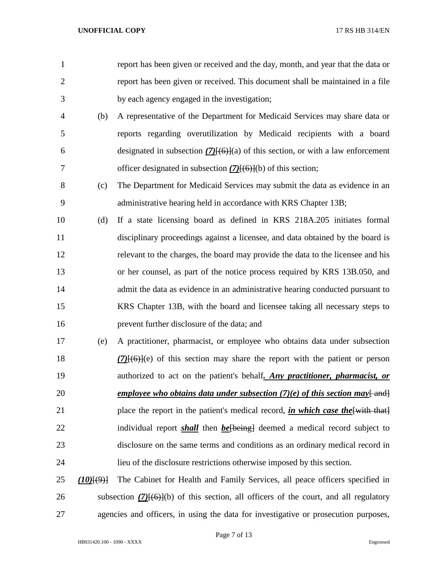- report has been given or received and the day, month, and year that the data or report has been given or received. This document shall be maintained in a file by each agency engaged in the investigation; (b) A representative of the Department for Medicaid Services may share data or reports regarding overutilization by Medicaid recipients with a board designated in subsection *(7)*[(6)](a) of this section, or with a law enforcement officer designated in subsection *(7)*[(6)](b) of this section; (c) The Department for Medicaid Services may submit the data as evidence in an administrative hearing held in accordance with KRS Chapter 13B; (d) If a state licensing board as defined in KRS 218A.205 initiates formal disciplinary proceedings against a licensee, and data obtained by the board is relevant to the charges, the board may provide the data to the licensee and his or her counsel, as part of the notice process required by KRS 13B.050, and 14 admit the data as evidence in an administrative hearing conducted pursuant to KRS Chapter 13B, with the board and licensee taking all necessary steps to prevent further disclosure of the data; and (e) A practitioner, pharmacist, or employee who obtains data under subsection *(7)*[(6)](e) of this section may share the report with the patient or person authorized to act on the patient's behalf*. Any practitioner, pharmacist, or*  20 *employee who obtains data under subsection (7)(e) of this section may* $\frac{1}{\text{and}}$ 21 place the report in the patient's medical record, *in which case the* [with that] 22 individual report *shall* then *be*[being] deemed a medical record subject to disclosure on the same terms and conditions as an ordinary medical record in lieu of the disclosure restrictions otherwise imposed by this section. *(10)*[(9)] The Cabinet for Health and Family Services, all peace officers specified in
- 

subsection *(7)*[(6)](b) of this section, all officers of the court, and all regulatory

agencies and officers, in using the data for investigative or prosecution purposes,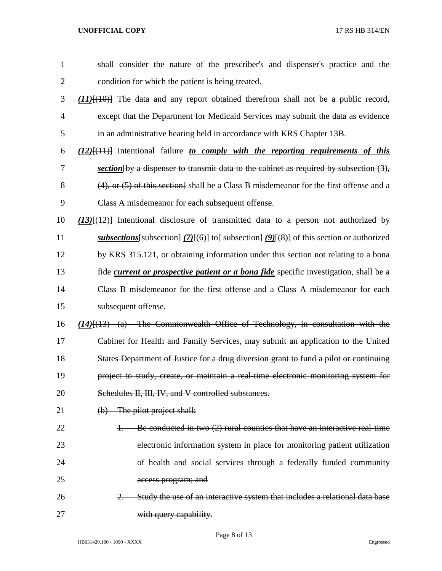| $\mathbf{1}$   | shall consider the nature of the prescriber's and dispenser's practice and the                 |
|----------------|------------------------------------------------------------------------------------------------|
| $\overline{2}$ | condition for which the patient is being treated.                                              |
| 3              | $(11)$ $(10)$ The data and any report obtained therefrom shall not be a public record,         |
| 4              | except that the Department for Medicaid Services may submit the data as evidence               |
| 5              | in an administrative hearing held in accordance with KRS Chapter 13B.                          |
| 6              | $(12)$ [ $(11)$ ] Intentional failure to comply with the reporting requirements of this        |
| 7              | section $\{by a$ dispenser to transmit data to the cabinet as required by subsection $(3)$ ,   |
| 8              | $(4)$ , or $(5)$ of this section. Shall be a Class B misdemeanor for the first offense and a   |
| 9              | Class A misdemeanor for each subsequent offense.                                               |
| 10             | $(13)$ [ $(12)$ ] Intentional disclosure of transmitted data to a person not authorized by     |
| 11             | subsections [subsection] $(7)$ [(6)] to [subsection] $(9)$ [(8)] of this section or authorized |
| 12             | by KRS 315.121, or obtaining information under this section not relating to a bona             |
| 13             | fide <i>current or prospective patient or a bona fide</i> specific investigation, shall be a   |
| 14             | Class B misdemeanor for the first offense and a Class A misdemeanor for each                   |
| 15             | subsequent offense.                                                                            |
| 16             | $(14)$ [ $(13)$ $(a)$ The Commonwealth Office of Technology, in consultation with the          |
| 17             | Cabinet for Health and Family Services, may submit an application to the United                |
| 18             | States Department of Justice for a drug diversion grant to fund a pilot or continuing          |
| 19             | project to study, create, or maintain a real-time electronic monitoring system for             |
| 20             | Schedules II, III, IV, and V controlled substances.                                            |
| 21             | (b) The pilot project shall:                                                                   |
| 22             | Be conducted in two $(2)$ rural counties that have an interactive real-time                    |
| 23             | electronic information system in place for monitoring patient utilization                      |
| 24             | of health and social services through a federally funded community                             |
| 25             | access program; and                                                                            |
| 26             | Study the use of an interactive system that includes a relational data base<br>$2 -$           |
| 27             | with query capability.                                                                         |

Page 8 of 13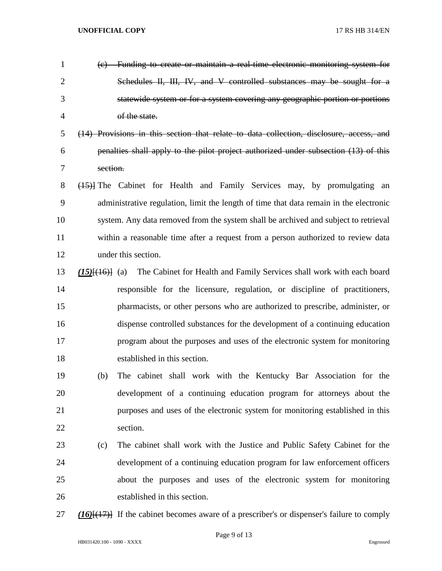| $\mathbf{1}$   |                     | (c) Funding to create or maintain a real-time electronic monitoring system for                    |
|----------------|---------------------|---------------------------------------------------------------------------------------------------|
| $\overline{2}$ |                     | Schedules II, III, IV, and V controlled substances may be sought for a                            |
| 3              |                     | statewide system or for a system covering any geographic portion or portions                      |
| $\overline{4}$ |                     | of the state.                                                                                     |
| 5              |                     | (14) Provisions in this section that relate to data collection, disclosure, access, and           |
| 6              |                     | penalties shall apply to the pilot project authorized under subsection (13) of this               |
| 7              | section.            |                                                                                                   |
| 8              |                     | (45) The Cabinet for Health and Family Services may, by promulgating<br>an                        |
| 9              |                     | administrative regulation, limit the length of time that data remain in the electronic            |
| 10             |                     | system. Any data removed from the system shall be archived and subject to retrieval               |
| 11             |                     | within a reasonable time after a request from a person authorized to review data                  |
| 12             |                     | under this section.                                                                               |
| 13             | $(15)$ $(16)$ $(a)$ | The Cabinet for Health and Family Services shall work with each board                             |
| 14             |                     | responsible for the licensure, regulation, or discipline of practitioners,                        |
| 15             |                     | pharmacists, or other persons who are authorized to prescribe, administer, or                     |
| 16             |                     | dispense controlled substances for the development of a continuing education                      |
| 17             |                     | program about the purposes and uses of the electronic system for monitoring                       |
| 18             |                     | established in this section.                                                                      |
| 19             | (b)                 | The cabinet shall work with the Kentucky Bar Association for the                                  |
| 20             |                     | development of a continuing education program for attorneys about the                             |
| 21             |                     | purposes and uses of the electronic system for monitoring established in this                     |
| 22             |                     | section.                                                                                          |
| 23             | (c)                 | The cabinet shall work with the Justice and Public Safety Cabinet for the                         |
| 24             |                     | development of a continuing education program for law enforcement officers                        |
| 25             |                     | about the purposes and uses of the electronic system for monitoring                               |
| 26             |                     | established in this section.                                                                      |
| 27             |                     | $(16)$ [ $(17)$ ] If the cabinet becomes aware of a prescriber's or dispenser's failure to comply |

HB031420.100 - 1090 - XXXX Engrossed

Page 9 of 13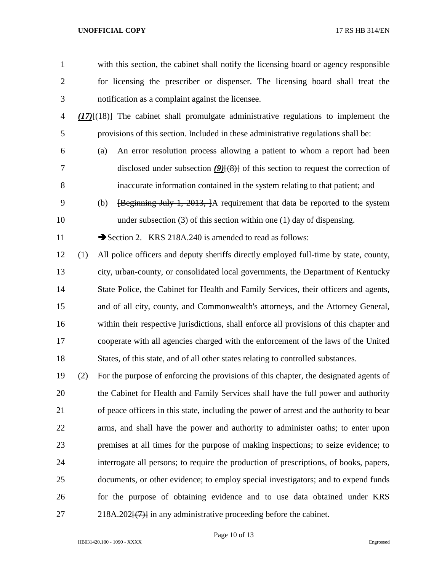- 
- with this section, the cabinet shall notify the licensing board or agency responsible for licensing the prescriber or dispenser. The licensing board shall treat the notification as a complaint against the licensee.
- *(17)*[(18)] The cabinet shall promulgate administrative regulations to implement the provisions of this section. Included in these administrative regulations shall be:
- 

 (a) An error resolution process allowing a patient to whom a report had been 7 disclosed under subsection *(9)*<sup>[(8)</sup>] of this section to request the correction of inaccurate information contained in the system relating to that patient; and

 (b) [Beginning July 1, 2013, ]A requirement that data be reported to the system 10 under subsection (3) of this section within one (1) day of dispensing.

11 Section 2. KRS 218A.240 is amended to read as follows:

- (1) All police officers and deputy sheriffs directly employed full-time by state, county, city, urban-county, or consolidated local governments, the Department of Kentucky 14 State Police, the Cabinet for Health and Family Services, their officers and agents, and of all city, county, and Commonwealth's attorneys, and the Attorney General, within their respective jurisdictions, shall enforce all provisions of this chapter and cooperate with all agencies charged with the enforcement of the laws of the United States, of this state, and of all other states relating to controlled substances.
- (2) For the purpose of enforcing the provisions of this chapter, the designated agents of the Cabinet for Health and Family Services shall have the full power and authority of peace officers in this state, including the power of arrest and the authority to bear arms, and shall have the power and authority to administer oaths; to enter upon premises at all times for the purpose of making inspections; to seize evidence; to interrogate all persons; to require the production of prescriptions, of books, papers, documents, or other evidence; to employ special investigators; and to expend funds for the purpose of obtaining evidence and to use data obtained under KRS 27 218A.202<del>[(7)]</del> in any administrative proceeding before the cabinet.

Page 10 of 13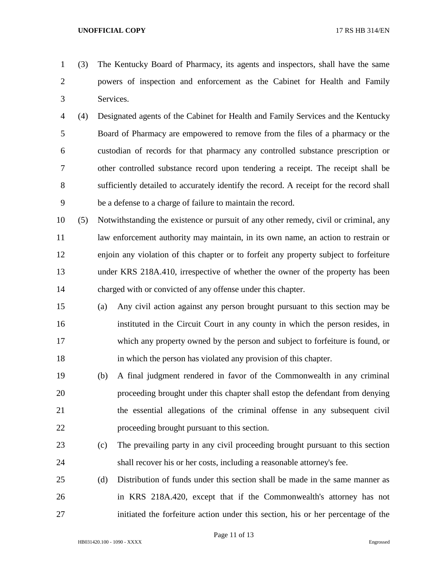(3) The Kentucky Board of Pharmacy, its agents and inspectors, shall have the same powers of inspection and enforcement as the Cabinet for Health and Family Services.

- (4) Designated agents of the Cabinet for Health and Family Services and the Kentucky Board of Pharmacy are empowered to remove from the files of a pharmacy or the custodian of records for that pharmacy any controlled substance prescription or other controlled substance record upon tendering a receipt. The receipt shall be sufficiently detailed to accurately identify the record. A receipt for the record shall be a defense to a charge of failure to maintain the record.
- (5) Notwithstanding the existence or pursuit of any other remedy, civil or criminal, any law enforcement authority may maintain, in its own name, an action to restrain or enjoin any violation of this chapter or to forfeit any property subject to forfeiture under KRS 218A.410, irrespective of whether the owner of the property has been charged with or convicted of any offense under this chapter.
- (a) Any civil action against any person brought pursuant to this section may be instituted in the Circuit Court in any county in which the person resides, in which any property owned by the person and subject to forfeiture is found, or in which the person has violated any provision of this chapter.
- (b) A final judgment rendered in favor of the Commonwealth in any criminal proceeding brought under this chapter shall estop the defendant from denying the essential allegations of the criminal offense in any subsequent civil proceeding brought pursuant to this section.
- (c) The prevailing party in any civil proceeding brought pursuant to this section shall recover his or her costs, including a reasonable attorney's fee.
- (d) Distribution of funds under this section shall be made in the same manner as in KRS 218A.420, except that if the Commonwealth's attorney has not initiated the forfeiture action under this section, his or her percentage of the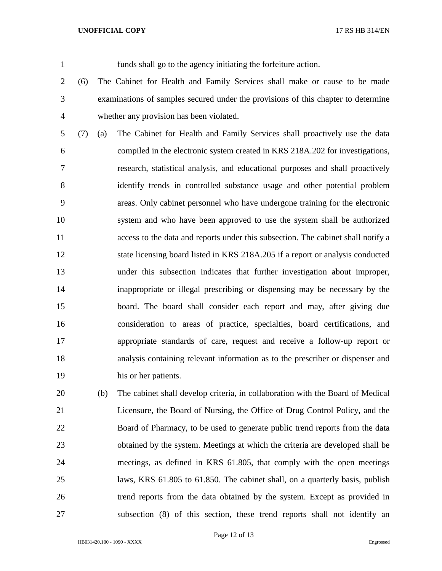funds shall go to the agency initiating the forfeiture action.

- (6) The Cabinet for Health and Family Services shall make or cause to be made examinations of samples secured under the provisions of this chapter to determine whether any provision has been violated.
- (7) (a) The Cabinet for Health and Family Services shall proactively use the data compiled in the electronic system created in KRS 218A.202 for investigations, research, statistical analysis, and educational purposes and shall proactively identify trends in controlled substance usage and other potential problem areas. Only cabinet personnel who have undergone training for the electronic system and who have been approved to use the system shall be authorized access to the data and reports under this subsection. The cabinet shall notify a state licensing board listed in KRS 218A.205 if a report or analysis conducted under this subsection indicates that further investigation about improper, inappropriate or illegal prescribing or dispensing may be necessary by the board. The board shall consider each report and may, after giving due consideration to areas of practice, specialties, board certifications, and appropriate standards of care, request and receive a follow-up report or analysis containing relevant information as to the prescriber or dispenser and his or her patients.
- (b) The cabinet shall develop criteria, in collaboration with the Board of Medical Licensure, the Board of Nursing, the Office of Drug Control Policy, and the Board of Pharmacy, to be used to generate public trend reports from the data obtained by the system. Meetings at which the criteria are developed shall be meetings, as defined in KRS 61.805, that comply with the open meetings laws, KRS 61.805 to 61.850. The cabinet shall, on a quarterly basis, publish trend reports from the data obtained by the system. Except as provided in subsection (8) of this section, these trend reports shall not identify an